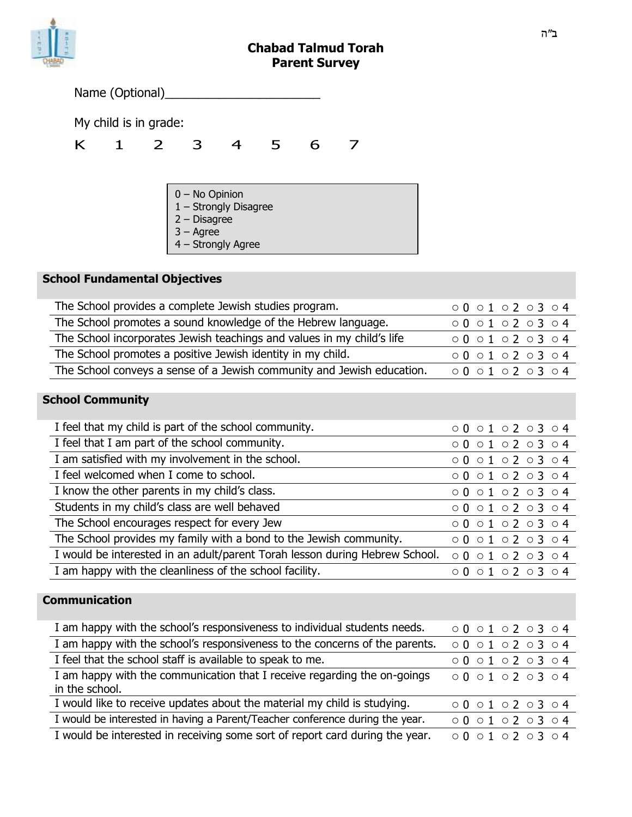## **Chabad Talmud Torah Parent Survey**

|   |                | Name (Optional)       |                                                                                                       |  |   |   |  |
|---|----------------|-----------------------|-------------------------------------------------------------------------------------------------------|--|---|---|--|
|   |                | My child is in grade: |                                                                                                       |  |   |   |  |
| K | $\blacksquare$ | $\overline{2}$        | 3                                                                                                     |  | 5 | 6 |  |
|   |                |                       |                                                                                                       |  |   |   |  |
|   |                |                       | 0 - No Opinion<br>1 - Strongly Disagree<br>$2 - Disagree$<br>$3 - \text{Agree}$<br>4 - Strongly Agree |  |   |   |  |

# **School Fundamental Objectives**

| The School provides a complete Jewish studies program.                 | 0001020304 |
|------------------------------------------------------------------------|------------|
| The School promotes a sound knowledge of the Hebrew language.          | 0001020304 |
| The School incorporates Jewish teachings and values in my child's life | 0001020304 |
| The School promotes a positive Jewish identity in my child.            | 0001020304 |
| The School conveys a sense of a Jewish community and Jewish education. | 0001020304 |

# **School Community**

| I feel that my child is part of the school community.                       | 0001020304 |
|-----------------------------------------------------------------------------|------------|
| I feel that I am part of the school community.                              | 0001020304 |
| I am satisfied with my involvement in the school.                           | 0001020304 |
| I feel welcomed when I come to school.                                      | 0001020304 |
| I know the other parents in my child's class.                               | 0001020304 |
| Students in my child's class are well behaved                               | 0001020304 |
| The School encourages respect for every Jew                                 | 0001020304 |
| The School provides my family with a bond to the Jewish community.          | 0001020304 |
| I would be interested in an adult/parent Torah lesson during Hebrew School. | 0001020304 |
| I am happy with the cleanliness of the school facility.                     | 0001020304 |

## **Communication**

| I am happy with the school's responsiveness to individual students needs.                  | 0001020304 |
|--------------------------------------------------------------------------------------------|------------|
| I am happy with the school's responsiveness to the concerns of the parents.                | 0001020304 |
| I feel that the school staff is available to speak to me.                                  | 0001020304 |
| I am happy with the communication that I receive regarding the on-goings<br>in the school. | 0001020304 |
|                                                                                            |            |
| I would like to receive updates about the material my child is studying.                   | 0001020304 |
| I would be interested in having a Parent/Teacher conference during the year.               | 0001020304 |
| I would be interested in receiving some sort of report card during the year.               | 0001020304 |